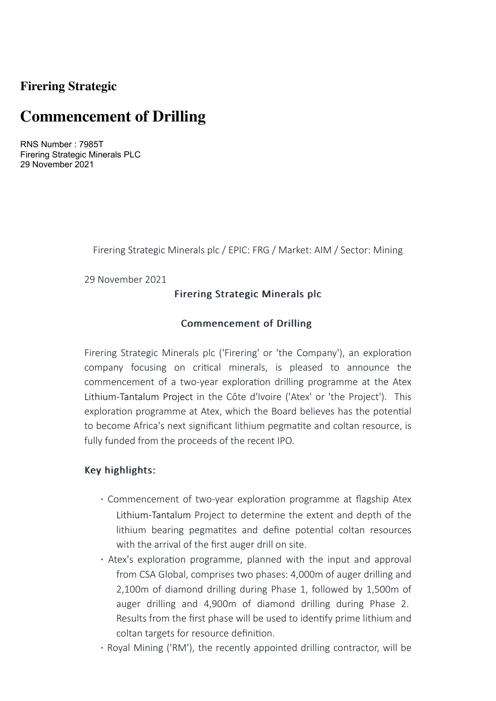## **Firering Strategic**

# **Commencement of Drilling**

RNS Number : 7985T Firering Strategic Minerals PLC 29 November 2021

Firering Strategic Minerals plc / EPIC: FRG / Market: AIM / Sector: Mining

29 November 2021

### Firering Strategic Minerals plc

### Commencement of Drilling

Firering Strategic Minerals plc ('Firering' or 'the Company'), an exploration company focusing on critical minerals, is pleased to announce the commencement of a two-year exploration drilling programme at the Atex Lithium-Tantalum Project in the Côte d'Ivoire ('Atex' or 'the Project'). This exploration programme at Atex, which the Board believes has the potential to become Africa's next significant lithium pegmatite and coltan resource, is fully funded from the proceeds of the recent IPO.

### Key highlights:

- Commencement of two-year exploration programme at flagship Atex Lithium-Tantalum Project to determine the extent and depth of the lithium bearing pegmatites and define potential coltan resources with the arrival of the first auger drill on site.
- · Atex's exploration programme, planned with the input and approval from CSA Global, comprises two phases: 4,000m of auger drilling and 2,100m of diamond drilling during Phase 1, followed by 1,500m of auger drilling and 4,900m of diamond drilling during Phase 2. Results from the first phase will be used to identify prime lithium and coltan targets for resource definition.
- · Royal Mining ('RM'), the recently appointed drilling contractor, will be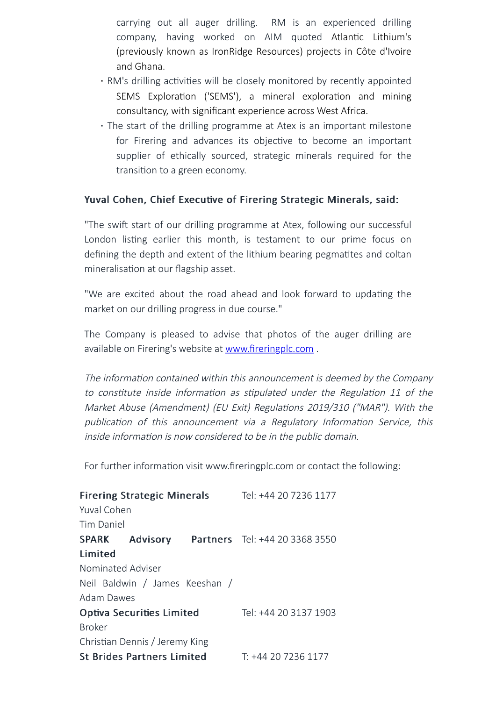carrying out all auger drilling. RM is an experienced drilling company, having worked on AIM quoted Atlantic Lithium's (previously known as IronRidge Resources) projects in Côte d'Ivoire and Ghana.

- · RM's drilling activities will be closely monitored by recently appointed SEMS Exploration ('SEMS'), a mineral exploration and mining consultancy, with significant experience across West Africa.
- · The start of the drilling programme at Atex is an important milestone for Firering and advances its objective to become an important supplier of ethically sourced, strategic minerals required for the transition to a green economy.

### Yuval Cohen, Chief Executive of Firering Strategic Minerals, said:

"The swift start of our drilling programme at Atex, following our successful London listing earlier this month, is testament to our prime focus on defining the depth and extent of the lithium bearing pegmatites and coltan mineralisation at our flagship asset.

"We are excited about the road ahead and look forward to updating the market on our drilling progress in due course."

The Company is pleased to advise that photos of the auger drilling are available on Firering's website at [www.fireringplc.com](http://www.fireringplc.com/).

The information contained within this announcement is deemed by the Company to constitute inside information as stipulated under the Regulation 11 of the Market Abuse (Amendment) (EU Exit) Regulations 2019/310 ("MAR"). With the publication of this announcement via a Regulatory Information Service, this inside information is now considered to be in the public domain.

For further information visit www.fireringplc.com or contact the following:

| <b>Firering Strategic Minerals</b> |  |  | Tel: +44 20 7236 1177                                |
|------------------------------------|--|--|------------------------------------------------------|
| Yuval Cohen                        |  |  |                                                      |
| <b>Tim Daniel</b>                  |  |  |                                                      |
|                                    |  |  | <b>SPARK Advisory Partners</b> Tel: +44 20 3368 3550 |
| Limited                            |  |  |                                                      |
| Nominated Adviser                  |  |  |                                                      |
| Neil Baldwin / James Keeshan /     |  |  |                                                      |
| <b>Adam Dawes</b>                  |  |  |                                                      |
| <b>Optiva Securities Limited</b>   |  |  | Tel: +44 20 3137 1903                                |
| <b>Broker</b>                      |  |  |                                                      |
| Christian Dennis / Jeremy King     |  |  |                                                      |
| <b>St Brides Partners Limited</b>  |  |  | T: +44 20 7236 1177                                  |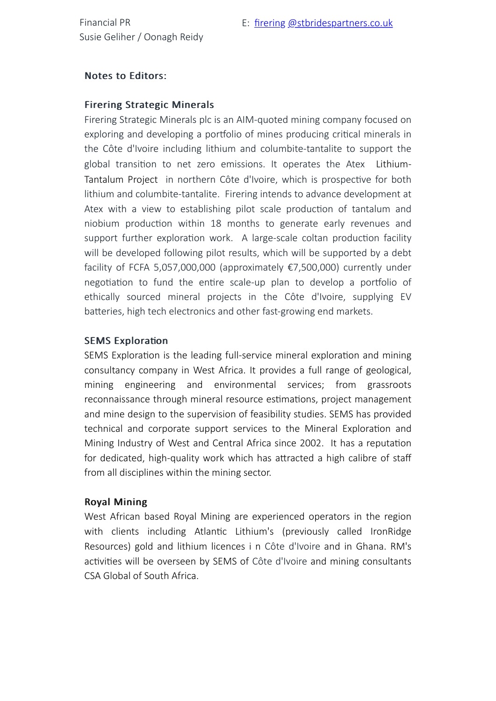### Notes to Editors:

#### Firering Strategic Minerals

Firering Strategic Minerals plc is an AIM-quoted mining company focused on exploring and developing a portfolio of mines producing critical minerals in the Côte d'Ivoire including lithium and columbite-tantalite to support the global transition to net zero emissions. It operates the Atex Lithium-Tantalum Project in northern Côte d'Ivoire, which is prospective for both lithium and columbite-tantalite. Firering intends to advance development at Atex with a view to establishing pilot scale production of tantalum and niobium production within 18 months to generate early revenues and support further exploration work. A large-scale coltan production facility will be developed following pilot results, which will be supported by a debt facility of FCFA 5,057,000,000 (approximately €7,500,000) currently under negotiation to fund the entire scale-up plan to develop a portfolio of ethically sourced mineral projects in the Côte d'Ivoire, supplying EV batteries, high tech electronics and other fast-growing end markets.

### SEMS Exploration

SEMS Exploration is the leading full-service mineral exploration and mining consultancy company in West Africa. It provides a full range of geological, mining engineering and environmental services; from grassroots reconnaissance through mineral resource estimations, project management and mine design to the supervision of feasibility studies. SEMS has provided technical and corporate support services to the Mineral Exploration and Mining Industry of West and Central Africa since 2002. It has a reputation for dedicated, high-quality work which has attracted a high calibre of staff from all disciplines within the mining sector.

#### **Royal Mining**

West African based Royal Mining are experienced operators in the region with clients including Atlantic Lithium's (previously called IronRidge Resources) gold and lithium licences i n Côte d'Ivoire and in Ghana. RM's activities will be overseen by SEMS of Côte d'Ivoire and mining consultants CSA Global of South Africa.